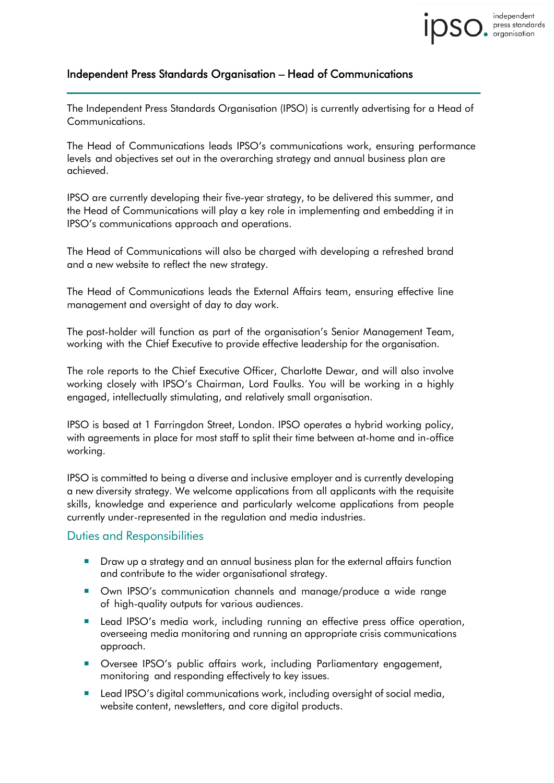The Independent Press Standards Organisation (IPSO) is currently advertising for a Head of Communications.

\_\_\_\_\_\_\_\_\_\_\_\_\_\_\_\_\_\_\_\_\_\_\_\_\_\_\_\_\_\_\_\_\_\_\_\_\_\_\_\_\_\_\_\_\_\_\_\_\_\_\_\_\_\_\_\_\_\_\_\_\_\_\_\_\_\_\_\_\_\_\_\_\_\_

independent press standards<br>organisation

The Head of Communications leads IPSO's communications work, ensuring performance levels and objectives set out in the overarching strategy and annual business plan are achieved.

IPSO are currently developing their five-year strategy, to be delivered this summer, and the Head of Communications will play a key role in implementing and embedding it in IPSO's communications approach and operations.

The Head of Communications will also be charged with developing a refreshed brand and a new website to reflect the new strategy.

The Head of Communications leads the External Affairs team, ensuring effective line management and oversight of day to day work.

The post-holder will function as part of the organisation's Senior Management Team, working with the Chief Executive to provide effective leadership for the organisation.

The role reports to the Chief Executive Officer, Charlotte Dewar, and will also involve working closely with IPSO's Chairman, Lord Faulks. You will be working in a highly engaged, intellectually stimulating, and relatively small organisation.

IPSO is based at 1 Farringdon Street, London. IPSO operates a hybrid working policy, with agreements in place for most staff to split their time between at-home and in-office working.

IPSO is committed to being a diverse and inclusive employer and is currently developing a new diversity strategy. We welcome applications from all applicants with the requisite skills, knowledge and experience and particularly welcome applications from people currently under-represented in the regulation and media industries.

## Duties and Responsibilities

- Draw up a strategy and an annual business plan for the external affairs function and contribute to the wider organisational strategy.
- **Danna IPSO's communication channels and manage/produce a wide range** of high-quality outputs for various audiences.
- Lead IPSO's media work, including running an effective press office operation, overseeing media monitoring and running an appropriate crisis communications approach.
- **Dimeson IPSO's** public affairs work, including Parliamentary engagement, monitoring and responding effectively to key issues.
- **Lead IPSO's digital communications work, including oversight of social media,** website content, newsletters, and core digital products.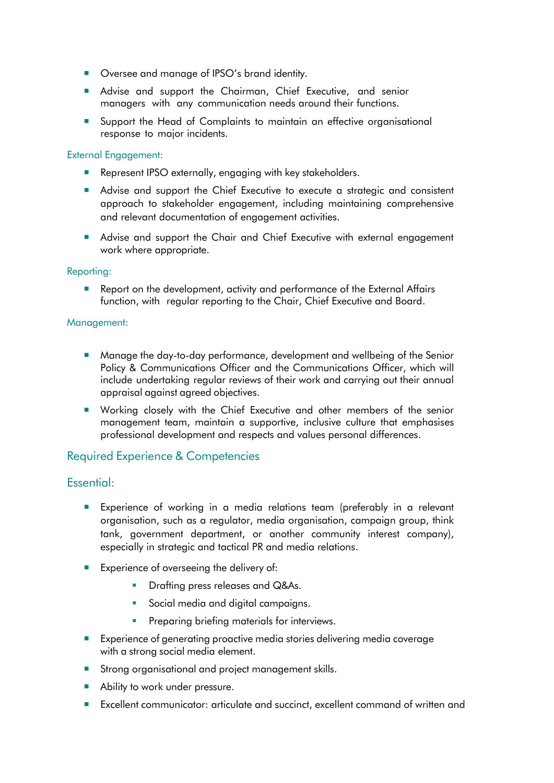- Oversee and manage of IPSO's brand identity.
- Advise and support the Chairman, Chief Executive, and senior managers with any communication needs around their functions.
- **Support the Head of Complaints to maintain an effective organisational** response to major incidents.

### External Engagement:

- Represent IPSO externally, engaging with key stakeholders.
- Advise and support the Chief Executive to execute a strategic and consistent approach to stakeholder engagement, including maintaining comprehensive and relevant documentation of engagement activities.
- Advise and support the Chair and Chief Executive with external engagement work where appropriate.

### Reporting:

**Report on the development, activity and performance of the External Affairs** function, with regular reporting to the Chair, Chief Executive and Board.

### Management:

- Manage the day-to-day performance, development and wellbeing of the Senior Policy & Communications Officer and the Communications Officer, which will include undertaking regular reviews of their work and carrying out their annual appraisal against agreed objectives.
- **Norking closely with the Chief Executive and other members of the senior** management team, maintain a supportive, inclusive culture that emphasises professional development and respects and values personal differences.

## Required Experience & Competencies

## Essential:

- **Experience of working in a media relations team (preferably in a relevant** organisation, such as a regulator, media organisation, campaign group, think tank, government department, or another community interest company), especially in strategic and tactical PR and media relations.
- **Experience of overseeing the delivery of:** 
	- **•** Drafting press releases and Q&As.
	- Social media and digital campaigns.
	- Preparing briefing materials for interviews.
- Experience of generating proactive media stories delivering media coverage with a strong social media element.
- **Strong organisational and project management skills.**
- Ability to work under pressure.
- Excellent communicator: articulate and succinct, excellent command of written and